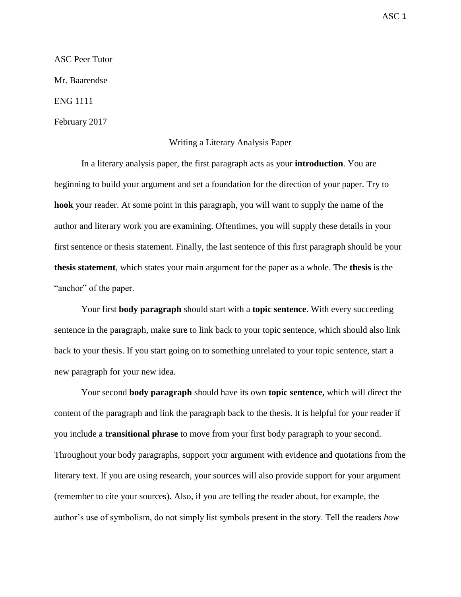ASC Peer Tutor

Mr. Baarendse

ENG 1111

February 2017

## Writing a Literary Analysis Paper

In a literary analysis paper, the first paragraph acts as your **introduction**. You are beginning to build your argument and set a foundation for the direction of your paper. Try to **hook** your reader. At some point in this paragraph, you will want to supply the name of the author and literary work you are examining. Oftentimes, you will supply these details in your first sentence or thesis statement. Finally, the last sentence of this first paragraph should be your **thesis statement**, which states your main argument for the paper as a whole. The **thesis** is the "anchor" of the paper.

Your first **body paragraph** should start with a **topic sentence**. With every succeeding sentence in the paragraph, make sure to link back to your topic sentence, which should also link back to your thesis. If you start going on to something unrelated to your topic sentence, start a new paragraph for your new idea.

Your second **body paragraph** should have its own **topic sentence,** which will direct the content of the paragraph and link the paragraph back to the thesis. It is helpful for your reader if you include a **transitional phrase** to move from your first body paragraph to your second. Throughout your body paragraphs, support your argument with evidence and quotations from the literary text. If you are using research, your sources will also provide support for your argument (remember to cite your sources). Also, if you are telling the reader about, for example, the author's use of symbolism, do not simply list symbols present in the story. Tell the readers *how*